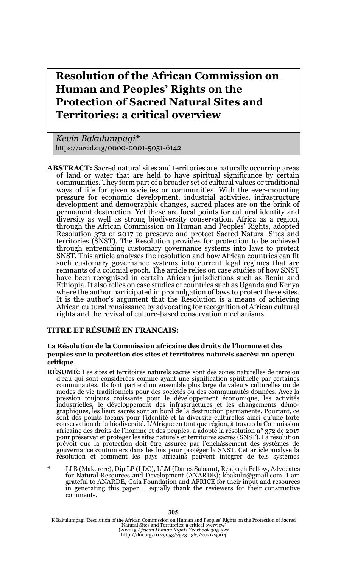# **Resolution of the African Commission on Human and Peoples' Rights on the Protection of Sacred Natural Sites and Territories: a critical overview**

*Kevin Bakulumpagi\** https://orcid.org/0000-0001-5051-6142

**ABSTRACT:** Sacred natural sites and territories are naturally occurring areas of land or water that are held to have spiritual significance by certain communities. They form part of a broader set of cultural values or traditional ways of life for given societies or communities. With the ever-mounting pressure for economic development, industrial activities, infrastructure development and demographic changes, sacred places are on the brink of permanent destruction. Yet these are focal points for cultural identity and diversity as well as strong biodiversity conservation. Africa as a region, through the African Commission on Human and Peoples' Rights, adopted Resolution 372 of 2017 to preserve and protect Sacred Natural Sites and territories (SNST). The Resolution provides for protection to be achieved through entrenching customary governance systems into laws to protect SNST. This article analyses the resolution and how African countries can fit such customary governance systems into current legal regimes that are remnants of a colonial epoch. The article relies on case studies of how SNST have been recognised in certain African jurisdictions such as Benin and Ethiopia. It also relies on case studies of countries such as Uganda and Kenya where the author participated in promulgation of laws to protect these sites. It is the author's argument that the Resolution is a means of achieving African cultural renaissance by advocating for recognition of African cultural rights and the revival of culture-based conservation mechanisms.

### **TITRE ET RÉSUMÉ EN FRANCAIS:**

#### **La Résolution de la Commission africaine des droits de l'homme et des peuples sur la protection des sites et territoires naturels sacrés: un aperçu critique**

- **RÉSUMÉ:** Les sites et territoires naturels sacrés sont des zones naturelles de terre ou d'eau qui sont considérées comme ayant une signification spirituelle par certaines communautés. Ils font partie d'un ensemble plus large de valeurs culturelles ou de modes de vie traditionnels pour des sociétés ou des communautés données. Avec la pression toujours croissante pour le développement économique, les activités industrielles, le développement des infrastructures et les changements démographiques, les lieux sacrés sont au bord de la destruction permanente. Pourtant, ce sont des points focaux pour l'identité et la diversité culturelles ainsi qu'une forte conservation de la biodiversité. L'Afrique en tant que région, à travers la Commission africaine des droits de l'homme et des peuples, a adopté la résolution n° 372 de 2017 pour préserver et protéger les sites naturels et territoires sacrés (SNST). La résolution prévoit que la protection doit être assurée par l'enchâssement des systèmes de gouvernance coutumiers dans les lois pour protéger la SNST. Cet article analyse la résolution et comment les pays africains peuvent intégrer de tels systèmes
- \* LLB (Makerere), Dip LP (LDC), LLM (Dar es Salaam), Research Fellow, Advocates for Natural Resources and Development (ANARDE); kbakulu@gmail.com. I am grateful to ANARDE, Gaia Foundation and AFRICE for their input and resources in generating this paper. I equally thank the reviewers for their constructive comments.

K Bakulumpagi 'Resolution of the African Commission on Human and Peoples' Rights on the Protection of Sacred Natural Sites and Territories: a critical overview' (2021) 5 *African Human Rights Yearbook* 305-327 http://doi.org/10.29053/2523-1367/2021/v5a14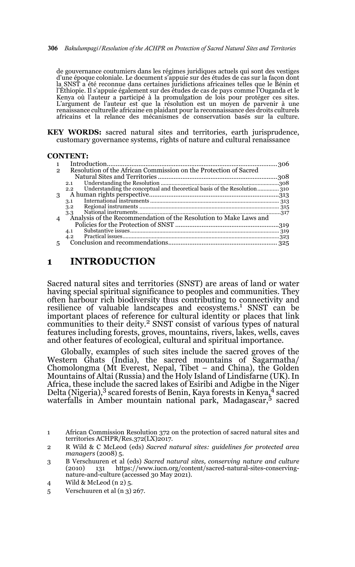#### **306** *Bakulumpagi/Resolution of the ACHPR on Protection of Sacred Natural Sites and Territories*

de gouvernance coutumiers dans les régimes juridiques actuels qui sont des vestiges d'une époque coloniale. Le document s'appuie sur des études de cas sur la façon dont la SNST a été reconnue dans certaines juridictions africaines telles que le Bénin et l'Éthiopie. Il s'appuie également sur des études de cas de pays comme l'Ouganda et le Kenya où l'auteur a participé à la promulgation de lois pour protéger ces sites. L'argument de l'auteur est que la résolution est un moyen de parvenir à une renaissance culturelle africaine en plaidant pour la reconnaissance des droits culturels africains et la relance des mécanismes de conservation basés sur la culture.

**KEY WORDS:** sacred natural sites and territories, earth jurisprudence, customary governance systems, rights of nature and cultural renaissance

#### **CONTENT:**

| 2 | Resolution of the African Commission on the Protection of Sacred               |  |
|---|--------------------------------------------------------------------------------|--|
|   |                                                                                |  |
|   | 2.1                                                                            |  |
|   | Understanding the conceptual and theoretical basis of the Resolution310<br>2.2 |  |
| 3 |                                                                                |  |
|   | 3.1                                                                            |  |
|   | 3.2                                                                            |  |
|   | 3.3                                                                            |  |
| 4 | Analysis of the Recommendation of the Resolution to Make Laws and              |  |
|   |                                                                                |  |
|   | 4.1                                                                            |  |
|   | 4.2                                                                            |  |
|   |                                                                                |  |
|   |                                                                                |  |

### **1 INTRODUCTION**

Sacred natural sites and territories (SNST) are areas of land or water having special spiritual significance to peoples and communities. They often harbour rich biodiversity thus contributing to connectivity and resilience of valuable landscapes and ecosystems.<sup>1</sup> SNST can be important places of reference for cultural identity or places that link<br>communities to their deity.<sup>2</sup> SNST consist of various types of natural features including forests, groves, mountains, rivers, lakes, wells, caves and other features of ecological, cultural and spiritual importance.

Globally, examples of such sites include the sacred groves of the Western Ghats (India), the sacred mountains of Sagarmatha/ Chomolongma (Mt Everest, Nepal, Tibet – and China), the Golden Mountains of Altai (Russia) and the Holy Island of Lindisfarne (UK).In Africa, these include the sacred lakes of Esiribi and Adigbe in the Niger Delta (Nigeria),3 scared forests of Benin, Kaya forests in Kenya,4 sacred waterfalls in Amber mountain national park, Madagascar,5 sacred

<sup>1</sup> African Commission Resolution 372 on the protection of sacred natural sites and territories ACHPR/Res.372(LX)2017.

<sup>2</sup> R Wild & C McLeod (eds) *Sacred natural sites: guidelines for protected area managers* (2008) 5.

<sup>3</sup> B Verschuuren et al (eds) *Sacred natural sites, conserving nature and culture* 131 https://www.iucn.org/content/sacred-natural-sites-conservingnature-and-culture (accessed 30 May 2021).

<sup>4</sup> Wild & McLeod (n 2) 5.

<sup>5</sup> Verschuuren et al (n 3) 267.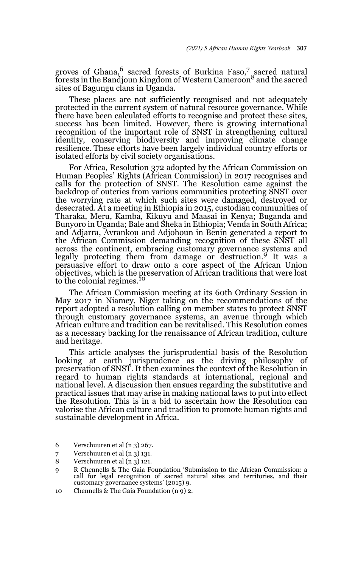groves of Ghana, <sup>6</sup> sacred forests of Burkina Faso,<sup>7</sup> sacred natural forests in the Bandjoun Kingdom of Western Cameroon<sup>8</sup> and the sacred sites of Bagungu clans in Uganda.

These places are not sufficiently recognised and not adequately protected in the current system of natural resource governance. While there have been calculated efforts to recognise and protect these sites, success has been limited. However, there is growing international recognition of the important role of SNST in strengthening cultural identity, conserving biodiversity and improving climate change resilience. These efforts have been largely individual country efforts or isolated efforts by civil society organisations.

For Africa, Resolution 372 adopted by the African Commission on Human Peoples' Rights (African Commission) in 2017 recognises and calls for the protection of SNST. The Resolution came against the backdrop of outcries from various communities protecting SNST over the worrying rate at which such sites were damaged, destroyed or desecrated. At a meeting in Ethiopia in 2015, custodian communities of Tharaka, Meru, Kamba, Kikuyu and Maasai in Kenya; Buganda and Bunyoro in Uganda; Bale and Sheka in Ethiopia; Venda in South Africa; and Adjarra, Avrankou and Adjohoun in Benin generated a report to the African Commission demanding recognition of these SNST all across the continent, embracing customary governance systems and legally protecting them from damage or destruction.<sup> $9$ </sup> It was a persuasive effort to draw onto a core aspect of the African Union objectives, which is the preservation of African traditions that were lost to the colonial regimes.<sup>10</sup>

The African Commission meeting at its 60th Ordinary Session in May 2017 in Niamey, Niger taking on the recommendations of the report adopted a resolution calling on member states to protect SNST through customary governance systems, an avenue through which African culture and tradition can be revitalised. This Resolution comes as a necessary backing for the renaissance of African tradition, culture and heritage.

This article analyses the jurisprudential basis of the Resolution looking at earth jurisprudence as the driving philosophy of preservation of SNST. It then examines the context of the Resolution in regard to human rights standards at international, regional and national level. A discussion then ensues regarding the substitutive and practical issues that may arise in making national laws to put into effect the Resolution. This is in a bid to ascertain how the Resolution can valorise the African culture and tradition to promote human rights and sustainable development in Africa.

- 6 Verschuuren et al (n 3) 267.
- 7 Verschuuren et al (n 3) 131.
- 8 Verschuuren et al (n 3) 121.
- 9 R Chennells & The Gaia Foundation 'Submission to the African Commission: a call for legal recognition of sacred natural sites and territories, and their customary governance systems' (2015) 9.
- 10 Chennells & The Gaia Foundation (n 9) 2.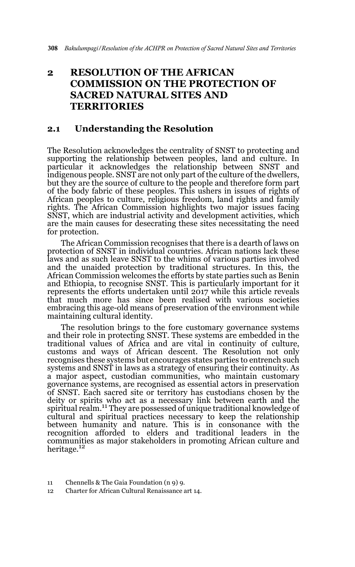# **2 RESOLUTION OF THE AFRICAN COMMISSION ON THE PROTECTION OF SACRED NATURAL SITES AND TERRITORIES**

### **2.1 Understanding the Resolution**

The Resolution acknowledges the centrality of SNST to protecting and supporting the relationship between peoples, land and culture. In particular it acknowledges the relationship between SNST and indigenous people. SNST are not only part of the culture of the dwellers, but they are the source of culture to the people and therefore form part of the body fabric of these peoples. This ushers in issues of rights of African peoples to culture, religious freedom, land rights and family rights. The African Commission highlights two major issues facing SNST, which are industrial activity and development activities, which are the main causes for desecrating these sites necessitating the need for protection.

The African Commission recognises that there is a dearth of laws on protection of SNST in individual countries. African nations lack these laws and as such leave SNST to the whims of various parties involved and the unaided protection by traditional structures. In this, the African Commission welcomes the efforts by state parties such as Benin and Ethiopia, to recognise SNST. This is particularly important for it represents the efforts undertaken until 2017 while this article reveals that much more has since been realised with various societies embracing this age-old means of preservation of the environment while maintaining cultural identity.

The resolution brings to the fore customary governance systems and their role in protecting SNST. These systems are embedded in the traditional values of Africa and are vital in continuity of culture, customs and ways of African descent. The Resolution not only recognises these systems but encourages states parties to entrench such systems and SNST in laws as a strategy of ensuring their continuity. As a major aspect, custodian communities, who maintain customary governance systems, are recognised as essential actors in preservation of SNST. Each sacred site or territory has custodians chosen by the deity or spirits who act as a necessary link between earth and the<br>spiritual realm.<sup>11</sup> They are possessed of unique traditional knowledge of cultural and spiritual practices necessary to keep the relationship between humanity and nature. This is in consonance with the recognition afforded to elders and traditional leaders in the communities as major stakeholders in promoting African culture and heritage.<sup>12</sup>

<sup>11</sup> Chennells & The Gaia Foundation (n 9) 9.

<sup>12</sup> Charter for African Cultural Renaissance art 14.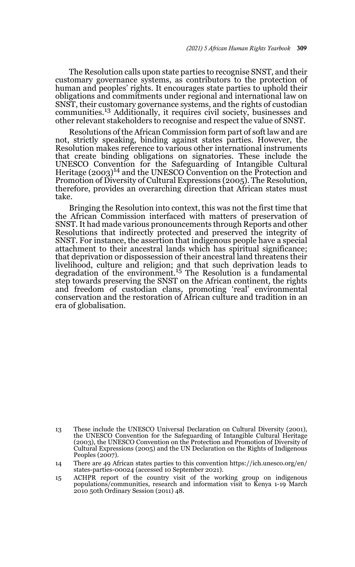The Resolution calls upon state parties to recognise SNST, and their customary governance systems, as contributors to the protection of human and peoples' rights. It encourages state parties to uphold their obligations and commitments under regional and international law on SNST, their customary governance systems, and the rights of custodian communities.13 Additionally, it requires civil society, businesses and other relevant stakeholders to recognise and respect the value of SNST.

Resolutions of the African Commission form part of soft law and are not, strictly speaking, binding against states parties. However, the Resolution makes reference to various other international instruments that create binding obligations on signatories. These include the UNESCO Convention for the Safeguarding of Intangible Cultural Heritage  $(2003)^{14}$  and the UNESCO Convention on the Protection and Promotion of Diversity of Cultural Expressions (2005). The Resolution, therefore, provides an overarching direction that African states must take.

Bringing the Resolution into context, this was not the first time that the African Commission interfaced with matters of preservation of SNST. It had made various pronouncements through Reports and other Resolutions that indirectly protected and preserved the integrity of SNST. For instance, the assertion that indigenous people have a special attachment to their ancestral lands which has spiritual significance; that deprivation or dispossession of their ancestral land threatens their livelihood, culture and religion; and that such deprivation leads to<br>degradation of the environment.<sup>15</sup> The Resolution is a fundamental step towards preserving the SNST on the African continent, the rights and freedom of custodian clans, promoting 'real' environmental conservation and the restoration of African culture and tradition in an era of globalisation.

<sup>13</sup> These include the UNESCO Universal Declaration on Cultural Diversity (2001), the UNESCO Convention for the Safeguarding of Intangible Cultural Heritage (2003), the UNESCO Convention on the Protection and Promotion of Diversity of Cultural Expressions (2005) and the UN Declaration on the Rights of Indigenous Peoples (2007).

<sup>14</sup> There are 49 African states parties to this convention https://ich.unesco.org/en/ states-parties-00024 (accessed 10 September 2021).

<sup>15</sup> ACHPR report of the country visit of the working group on indigenous populations/communities, research and information visit to Kenya 1-19 March 2010 50th Ordinary Session (2011) 48.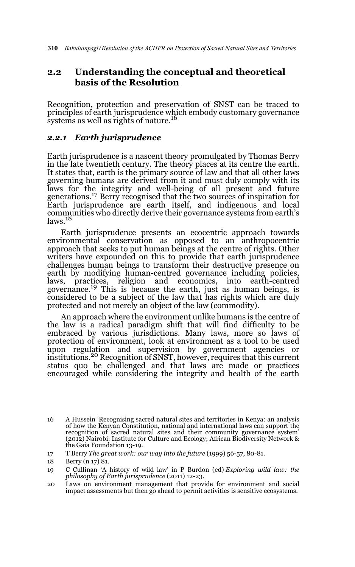# **2.2 Understanding the conceptual and theoretical basis of the Resolution**

Recognition, protection and preservation of SNST can be traced to principles of earth jurisprudence which embody customary governance systems as well as rights of nature.<sup>16</sup>

### *2.2.1 Earth jurisprudence*

Earth jurisprudence is a nascent theory promulgated by Thomas Berry in the late twentieth century. The theory places at its centre the earth. It states that, earth is the primary source of law and that all other laws governing humans are derived from it and must duly comply with its laws for the integrity and well-being of all present and future<br>generations.<sup>17</sup> Berry recognised that the two sources of inspiration for Earth jurisprudence are earth itself, and indigenous and local communities who directly derive their governance systems from earth's  $laws.<sup>18</sup>$ 

Earth jurisprudence presents an ecocentric approach towards environmental conservation as opposed to an anthropocentric approach that seeks to put human beings at the centre of rights. Other writers have expounded on this to provide that earth jurisprudence challenges human beings to transform their destructive presence on earth by modifying human-centred governance including policies, laws, practices, religion and economics, into earth-centred governance.<sup>19</sup> This is because the earth, just as human beings, is considered to be a subject of the law that has rights which are duly protected and not merely an object of the law (commodity).

An approach where the environment unlike humans is the centre of the law is a radical paradigm shift that will find difficulty to be embraced by various jurisdictions. Many laws, more so laws of protection of environment, look at environment as a tool to be used upon regulation and supervision by government agencies or institutions.20 Recognition of SNST, however, requires that this current status quo be challenged and that laws are made or practices encouraged while considering the integrity and health of the earth

<sup>16</sup> A Hussein 'Recognising sacred natural sites and territories in Kenya: an analysis of how the Kenyan Constitution, national and international laws can support the recognition of sacred natural sites and their community governance system' (2012) Nairobi: Institute for Culture and Ecology; African Biodiversity Network & the Gaia Foundation 13-19.

<sup>17</sup> T Berry *The great work: our way into the future* (1999) 56-57, 80-81.

<sup>18</sup> Berry (n 17) 81.

<sup>19</sup> C Cullinan 'A history of wild law' in P Burdon (ed) *Exploring wild law: the philosophy of Earth jurisprudence* (2011) 12-23.

<sup>20</sup> Laws on environment management that provide for environment and social impact assessments but then go ahead to permit activities is sensitive ecosystems.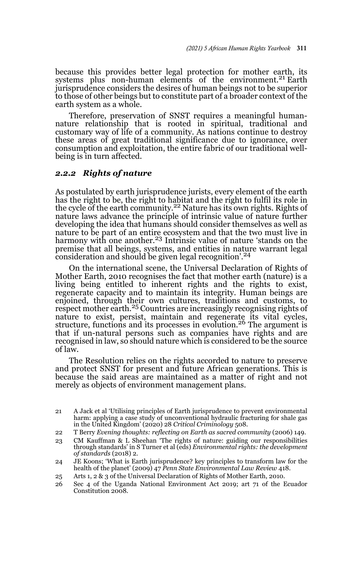because this provides better legal protection for mother earth, its systems plus non-human elements of the environment.<sup>21</sup> Earth jurisprudence considers the desires of human beings not to be superior to those of other beings but to constitute part of a broader context of the earth system as a whole.

Therefore, preservation of SNST requires a meaningful humannature relationship that is rooted in spiritual, traditional and customary way of life of a community. As nations continue to destroy these areas of great traditional significance due to ignorance, over consumption and exploitation, the entire fabric of our traditional wellbeing is in turn affected.

#### *2.2.2 Rights of nature*

As postulated by earth jurisprudence jurists, every element of the earth has the right to be, the right to habitat and the right to fulfil its role in the cycle of the earth community.<sup>22</sup> Nature has its own rights. Rights of nature laws advance the principle of intrinsic value of nature further developing the idea that humans should consider themselves as well as nature to be part of an entire ecosystem and that the two must live in harmony with one another.<sup>23</sup> Intrinsic value of nature 'stands on the premise that all beings, systems, and entities in nature warrant legal consideration and should be given legal recognition'.<sup>24</sup>

On the international scene, the Universal Declaration of Rights of Mother Earth, 2010 recognises the fact that mother earth (nature) is a living being entitled to inherent rights and the rights to exist, regenerate capacity and to maintain its integrity. Human beings are enjoined, through their own cultures, traditions and customs, to respect mother earth.<sup>25</sup> Countries are increasingly recognising rights of nature to exist, persist, maintain and regenerate its vital cycles, structure, functions and its processes in evolution.26 The argument is that if un-natural persons such as companies have rights and are recognised in law, so should nature which is considered to be the source of law.

The Resolution relies on the rights accorded to nature to preserve and protect SNST for present and future African generations. This is because the said areas are maintained as a matter of right and not merely as objects of environment management plans.

- 21 A Jack et al 'Utilising principles of Earth jurisprudence to prevent environmental harm: applying a case study of unconventional hydraulic fracturing for shale gas in the United Kingdom' (2020) 28 *Critical Criminology* 508.
- 22 T Berry *Evening thoughts: reflecting on Earth as sacred community* (2006) 149.
- 23 CM Kauffman & L Sheehan 'The rights of nature: guiding our responsibilities through standards' in S Turner et al (eds) *Environmental rights: the development of standards* (2018) 2.
- 24 JE Koons; 'What is Earth jurisprudence? key principles to transform law for the health of the planet' (2009) 47 *Penn State Environmental Law Review* 418.
- 25 Arts 1, 2 & 3 of the Universal Declaration of Rights of Mother Earth, 2010.
- 26 Sec 4 of the Uganda National Environment Act 2019; art 71 of the Ecuador Constitution 2008.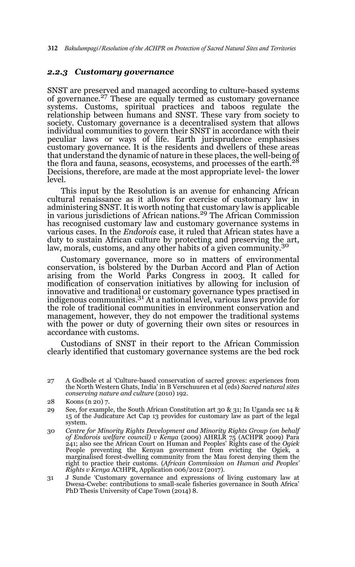#### *2.2.3 Customary governance*

SNST are preserved and managed according to culture-based systems<br>of governance.<sup>27</sup> These are equally termed as customary governance systems. Customs, spiritual practices and taboos regulate the relationship between humans and SNST. These vary from society to society. Customary governance is a decentralised system that allows individual communities to govern their SNST in accordance with their peculiar laws or ways of life. Earth jurisprudence emphasises customary governance. It is the residents and dwellers of these areas that understand the dynamic of nature in these places, the well-being of<br>the flora and fauna, seasons, ecosystems, and processes of the earth.<sup>28</sup> Decisions, therefore, are made at the most appropriate level- the lower level.

This input by the Resolution is an avenue for enhancing African cultural renaissance as it allows for exercise of customary law in administering SNST. It is worth noting that customary law is applicable<br>in various jurisdictions of African nations.<sup>29</sup> The African Commission has recognised customary law and customary governance systems in various cases. In the *Endorois* case, it ruled that African states have a duty to sustain African culture by protecting and preserving the art, law, morals, customs, and any other habits of a given community.<sup>30</sup>

Customary governance, more so in matters of environmental conservation, is bolstered by the Durban Accord and Plan of Action arising from the World Parks Congress in 2003. It called for modification of conservation initiatives by allowing for inclusion of innovative and traditional or customary governance types practised in indigenous communities.31 At a national level, various laws provide for the role of traditional communities in environment conservation and management, however, they do not empower the traditional systems with the power or duty of governing their own sites or resources in accordance with customs.

Custodians of SNST in their report to the African Commission clearly identified that customary governance systems are the bed rock

27 A Godbole et al 'Culture-based conservation of sacred groves: experiences from the North Western Ghats, India' in B Verschuuren et al (eds) *Sacred natural sites conserving nature and culture* (2010) 192.

- 29 See, for example, the South African Constitution art 30 & 31; In Uganda sec 14 & 15 of the Judicature Act Cap 13 provides for customary law as part of the legal system.
- 30 *Centre for Minority Rights Development and Minority Rights Group (on behalf of Endorois welfare council) v Kenya* (2009) AHRLR 75 (ACHPR 2009) Para 241; also see the African Court on Human and Peoples' Rights case of the *Ogiek* People preventing the Kenyan government from evicting the Ogiek, a marginalised forest-dwelling community from the Mau forest denying them the right to practice their customs. (*African Commission on Human and Peoples' Rights v Kenya* ACtHPR, Application 006/2012 (2017).
- 31 J Sunde 'Customary governance and expressions of living customary law at Dwesa-Cwebe: contributions to small-scale fisheries governance in South Africa' PhD Thesis University of Cape Town (2014) 8.

<sup>28</sup> Koons (n 20) 7.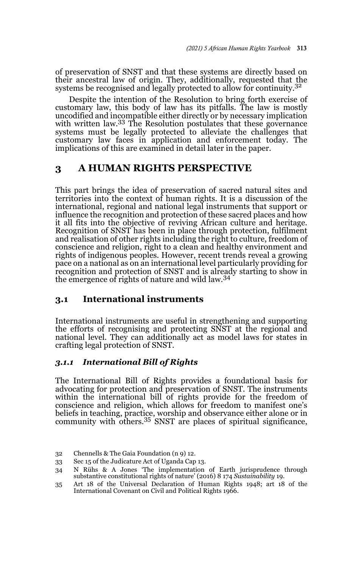of preservation of SNST and that these systems are directly based on their ancestral law of origin. They, additionally, requested that the systems be recognised and legally protected to allow for continuity.<sup>32</sup>

Despite the intention of the Resolution to bring forth exercise of customary law, this body of law has its pitfalls. The law is mostly uncodified and incompatible either directly or by necessary implication with written law.<sup>33</sup> The Resolution postulates that these governance systems must be legally protected to alleviate the challenges that customary law faces in application and enforcement today. The implications of this are examined in detail later in the paper.

### **3 A HUMAN RIGHTS PERSPECTIVE**

This part brings the idea of preservation of sacred natural sites and territories into the context of human rights. It is a discussion of the international, regional and national legal instruments that support or influence the recognition and protection of these sacred places and how it all fits into the objective of reviving African culture and heritage. Recognition of SNST has been in place through protection, fulfilment and realisation of other rights including the right to culture, freedom of conscience and religion, right to a clean and healthy environment and rights of indigenous peoples. However, recent trends reveal a growing pace on a national as on an international level particularly providing for recognition and protection of SNST and is already starting to show in the emergence of rights of nature and wild law.<sup>34</sup>

### **3.1 International instruments**

International instruments are useful in strengthening and supporting the efforts of recognising and protecting SNST at the regional and national level. They can additionally act as model laws for states in crafting legal protection of SNST.

### *3.1.1 International Bill of Rights*

The International Bill of Rights provides a foundational basis for advocating for protection and preservation of SNST. The instruments within the international bill of rights provide for the freedom of conscience and religion, which allows for freedom to manifest one's beliefs in teaching, practice, worship and observance either alone or in community with others.35 SNST are places of spiritual significance,

<sup>32</sup> Chennells & The Gaia Foundation (n 9) 12.

<sup>33</sup> Sec 15 of the Judicature Act of Uganda Cap 13.

<sup>34</sup> N Rühs & A Jones 'The implementation of Earth jurisprudence through substantive constitutional rights of nature' (2016) 8 174 *Sustainability* 19.

<sup>35</sup> Art 18 of the Universal Declaration of Human Rights 1948; art 18 of the International Covenant on Civil and Political Rights 1966.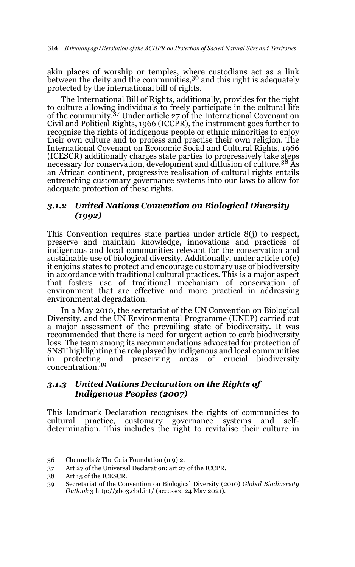akin places of worship or temples, where custodians act as a link between the deity and the communities,  $3<sup>6</sup>$  and this right is adequately protected by the international bill of rights.

The International Bill of Rights, additionally, provides for the right to culture allowing individuals to freely participate in the cultural life of the community.37 Under article 27 of the International Covenant on Civil and Political Rights, 1966 (ICCPR), the instrument goes further to recognise the rights of indigenous people or ethnic minorities to enjoy their own culture and to profess and practise their own religion. The International Covenant on Economic Social and Cultural Rights, 1966 (ICESCR) additionally charges state parties to progressively take steps necessary for conservation, development and diffusion of culture.38 As an African continent, progressive realisation of cultural rights entails entrenching customary governance systems into our laws to allow for adequate protection of these rights.

### *3.1.2 United Nations Convention on Biological Diversity (1992)*

This Convention requires state parties under article 8(j) to respect, preserve and maintain knowledge, innovations and practices of indigenous and local communities relevant for the conservation and sustainable use of biological diversity. Additionally, under article 10(c) it enjoins states to protect and encourage customary use of biodiversity in accordance with traditional cultural practices. This is a major aspect that fosters use of traditional mechanism of conservation of environment that are effective and more practical in addressing environmental degradation.

In a May 2010, the secretariat of the UN Convention on Biological Diversity, and the UN Environmental Programme (UNEP) carried out a major assessment of the prevailing state of biodiversity. It was recommended that there is need for urgent action to curb biodiversity loss. The team among its recommendations advocated for protection of SNST highlighting the role played by indigenous and local communities in protecting and preserving areas of crucial biodiversity concentration.39

### *3.1.3 United Nations Declaration on the Rights of Indigenous Peoples (2007)*

This landmark Declaration recognises the rights of communities to cultural practice, customary governance systems and selfdetermination. This includes the right to revitalise their culture in

<sup>36</sup> Chennells & The Gaia Foundation (n 9) 2.

<sup>37</sup> Art 27 of the Universal Declaration; art 27 of the ICCPR.

<sup>38</sup> Art 15 of the ICESCR.

<sup>39</sup> Secretariat of the Convention on Biological Diversity (2010) *Global Biodiversity Outlook* 3 http://gbo3.cbd.int/ (accessed 24 May 2021).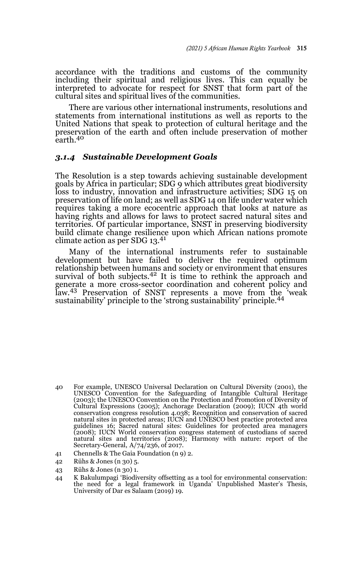accordance with the traditions and customs of the community including their spiritual and religious lives. This can equally be interpreted to advocate for respect for SNST that form part of the cultural sites and spiritual lives of the communities.

There are various other international instruments, resolutions and statements from international institutions as well as reports to the United Nations that speak to protection of cultural heritage and the preservation of the earth and often include preservation of mother earth.<sup>40</sup>

#### *3.1.4 Sustainable Development Goals*

The Resolution is a step towards achieving sustainable development goals by Africa in particular; SDG 9 which attributes great biodiversity loss to industry, innovation and infrastructure activities; SDG 15 on preservation of life on land; as well as SDG 14 on life under water which requires taking a more ecocentric approach that looks at nature as having rights and allows for laws to protect sacred natural sites and territories. Of particular importance, SNST in preserving biodiversity build climate change resilience upon which African nations promote climate action as per SDG  $13.^{41}$ 

Many of the international instruments refer to sustainable development but have failed to deliver the required optimum relationship between humans and society or environment that ensures survival of both subjects.42 It is time to rethink the approach and generate a more cross-sector coordination and coherent policy and law.43 Preservation of SNST represents a move from the 'weak sustainability' principle to the 'strong sustainability' principle.<sup>44</sup>

- 40 For example, UNESCO Universal Declaration on Cultural Diversity (2001), the UNESCO Convention for the Safeguarding of Intangible Cultural Heritage (2003); the UNESCO Convention on the Protection and Promotion of Diversity of Cultural Expressions (2005); Anchorage Declaration (2009); IUCN 4th world conservation congress resolution 4.038; Recognition and conservation of sacred<br>natural sites in protected areas; IUCN and UNESCO best practice protected area<br>guidelines 16; Sacred natural sites: Guidelines for protected ar (2008); IUCN World conservation congress statement of custodians of sacred natural sites and territories (2008); Harmony with nature: report of the Secretary-General, A/74/236, of 2017.
- 41 Chennells & The Gaia Foundation (n 9) 2.
- 42 Rühs & Jones (n 30) 5.
- 43 Rühs & Jones (n 30) 1.
- 44 K Bakulumpagi 'Biodiversity offsetting as a tool for environmental conservation: the need for a legal framework in Uganda' Unpublished Master's Thesis, University of Dar es Salaam (2019) 19.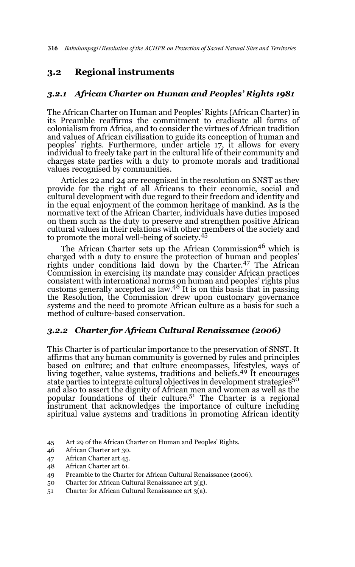### **3.2 Regional instruments**

#### *3.2.1 African Charter on Human and Peoples' Rights 1981*

The African Charter on Human and Peoples' Rights (African Charter) in its Preamble reaffirms the commitment to eradicate all forms of colonialism from Africa, and to consider the virtues of African tradition and values of African civilisation to guide its conception of human and peoples' rights. Furthermore, under article 17, it allows for every individual to freely take part in the cultural life of their community and charges state parties with a duty to promote morals and traditional values recognised by communities.

Articles 22 and 24 are recognised in the resolution on SNST as they provide for the right of all Africans to their economic, social and cultural development with due regard to their freedom and identity and in the equal enjoyment of the common heritage of mankind. As is the normative text of the African Charter, individuals have duties imposed on them such as the duty to preserve and strengthen positive African cultural values in their relations with other members of the society and to promote the moral well-being of society.<sup>45</sup>

The African Charter sets up the African Commission<sup>46</sup> which is charged with a duty to ensure the protection of human and peoples' rights under conditions laid down by the Charter.47 The African Commission in exercising its mandate may consider African practices consistent with international norms on human and peoples' rights plus<br>customs generally accepted as law.<sup>48</sup> It is on this basis that in passing the Resolution, the Commission drew upon customary governance systems and the need to promote African culture as a basis for such a method of culture-based conservation.

### *3.2.2 Charter for African Cultural Renaissance (2006)*

This Charter is of particular importance to the preservation of SNST. It affirms that any human community is governed by rules and principles based on culture; and that culture encompasses, lifestyles, ways of living together, value systems, traditions and beliefs.49 It encourages state parties to integrate cultural objectives in development strategies<sup>50</sup> and also to assert the dignity of African men and women as well as the popular foundations of their culture.51 The Charter is a regional instrument that acknowledges the importance of culture including spiritual value systems and traditions in promoting African identity

- 45 Art 29 of the African Charter on Human and Peoples' Rights.
- 46 African Charter art 30.
- 47 African Charter art 45.
- 48 African Charter art 61.
- 49 Preamble to the Charter for African Cultural Renaissance (2006).
- 50 Charter for African Cultural Renaissance art 3(g).
- 51 Charter for African Cultural Renaissance art 3(a).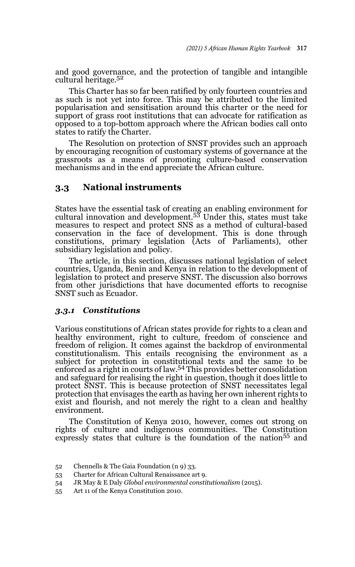and good governance, and the protection of tangible and intangible cultural heritage.<sup>52</sup>

This Charter has so far been ratified by only fourteen countries and as such is not yet into force. This may be attributed to the limited popularisation and sensitisation around this charter or the need for support of grass root institutions that can advocate for ratification as opposed to a top-bottom approach where the African bodies call onto states to ratify the Charter.

The Resolution on protection of SNST provides such an approach by encouraging recognition of customary systems of governance at the grassroots as a means of promoting culture-based conservation mechanisms and in the end appreciate the African culture.

### **3.3 National instruments**

States have the essential task of creating an enabling environment for cultural innovation and development.53 Under this, states must take measures to respect and protect SNS as a method of cultural-based conservation in the face of development. This is done through constitutions, primary legislation (Acts of Parliaments), other subsidiary legislation and policy.

The article, in this section, discusses national legislation of select countries, Uganda, Benin and Kenya in relation to the development of legislation to protect and preserve SNST. The discussion also borrows from other jurisdictions that have documented efforts to recognise SNST such as Ecuador.

### *3.3.1 Constitutions*

Various constitutions of African states provide for rights to a clean and healthy environment, right to culture, freedom of conscience and freedom of religion. It comes against the backdrop of environmental constitutionalism. This entails recognising the environment as a subject for protection in constitutional texts and the same to be enforced as a right in courts of law.54 This provides better consolidation and safeguard for realising the right in question, though it does little to protect SNST. This is because protection of SNST necessitates legal protection that envisages the earth as having her own inherent rights to exist and flourish, and not merely the right to a clean and healthy environment.

The Constitution of Kenya 2010, however, comes out strong on rights of culture and indigenous communities. The Constitution expressly states that culture is the foundation of the nation55 and

<sup>52</sup> Chennells & The Gaia Foundation (n 9) 33.

<sup>53</sup> Charter for African Cultural Renaissance art 9.

<sup>54</sup> JR May & E Daly *Global environmental constitutionalism* (2015).

<sup>55</sup> Art 11 of the Kenya Constitution 2010.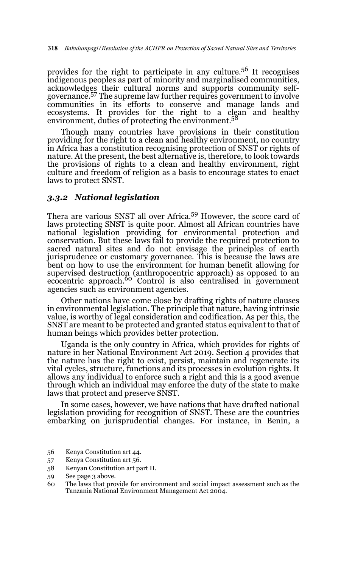provides for the right to participate in any culture.56 It recognises indigenous peoples as part of minority and marginalised communities, acknowledges their cultural norms and supports community selfgovernance.<sup>57</sup> The supreme law further requires government to involve communities in its efforts to conserve and manage lands and ecosystems. It provides for the right to a clean and healthy environment, duties of protecting the environment.<sup>58</sup>

Though many countries have provisions in their constitution providing for the right to a clean and healthy environment, no country in Africa has a constitution recognising protection of SNST or rights of nature. At the present, the best alternative is, therefore, to look towards the provisions of rights to a clean and healthy environment, right culture and freedom of religion as a basis to encourage states to enact laws to protect SNST.

### *3.3.2 National legislation*

Thera are various SNST all over Africa.<sup>59</sup> However, the score card of laws protecting SNST is quite poor. Almost all African countries have national legislation providing for environmental protection and conservation. But these laws fail to provide the required protection to sacred natural sites and do not envisage the principles of earth jurisprudence or customary governance. This is because the laws are bent on how to use the environment for human benefit allowing for supervised destruction (anthropocentric approach) as opposed to an<br>ecocentric approach.<sup>60</sup> Control is also centralised in government agencies such as environment agencies.

Other nations have come close by drafting rights of nature clauses in environmental legislation. The principle that nature, having intrinsic value, is worthy of legal consideration and codification. As per this, the SNST are meant to be protected and granted status equivalent to that of human beings which provides better protection.

Uganda is the only country in Africa, which provides for rights of nature in her National Environment Act 2019. Section 4 provides that the nature has the right to exist, persist, maintain and regenerate its vital cycles, structure, functions and its processes in evolution rights. It allows any individual to enforce such a right and this is a good avenue through which an individual may enforce the duty of the state to make laws that protect and preserve SNST.

In some cases, however, we have nations that have drafted national legislation providing for recognition of SNST. These are the countries embarking on jurisprudential changes. For instance, in Benin, a

- 56 Kenya Constitution art 44.
- 57 Kenya Constitution art 56.
- 58 Kenyan Constitution art part II.

<sup>59</sup> See page 3 above.

<sup>60</sup> The laws that provide for environment and social impact assessment such as the Tanzania National Environment Management Act 2004.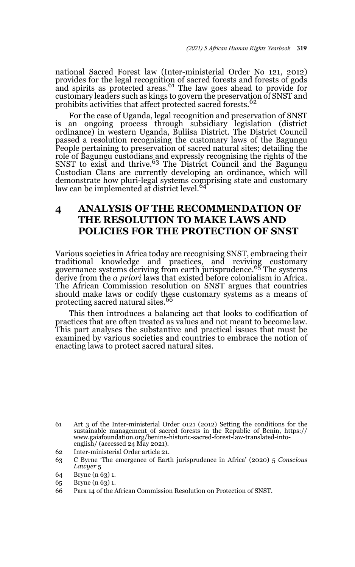national Sacred Forest law (Inter-ministerial Order No 121, 2012) provides for the legal recognition of sacred forests and forests of gods<br>and spirits as protected areas.<sup>61</sup> The law goes ahead to provide for customary leaders such as kings to govern the preservation of SNST and prohibits activities that affect protected sacred forests.<sup>62</sup>

For the case of Uganda, legal recognition and preservation of SNST is an ongoing process through subsidiary legislation (district ordinance) in western Uganda, Buliisa District. The District Council passed a resolution recognising the customary laws of the Bagungu People pertaining to preservation of sacred natural sites; detailing the role of Bagungu custodians and expressly recognising the rights of the SNST to exist and thrive.63 The District Council and the Bagungu Custodian Clans are currently developing an ordinance, which will demonstrate how pluri-legal systems comprising state and customary law can be implemented at district level.<sup>64</sup>

# **4 ANALYSIS OF THE RECOMMENDATION OF THE RESOLUTION TO MAKE LAWS AND POLICIES FOR THE PROTECTION OF SNST**

Various societies in Africa today are recognising SNST, embracing their traditional knowledge and practices, and reviving customary<br>governance systems deriving from earth jurisprudence.<sup>65</sup> The systems derive from the *a priori* laws that existed before colonialism in Africa. The African Commission resolution on SNST argues that countries should make laws or codify these customary systems as a means of protecting sacred natural sites.<sup>66</sup>

This then introduces a balancing act that looks to codification of practices that are often treated as values and not meant to become law. This part analyses the substantive and practical issues that must be examined by various societies and countries to embrace the notion of enacting laws to protect sacred natural sites.

<sup>61</sup> Art 3 of the Inter-ministerial Order 0121 (2012) Setting the conditions for the sustainable management of sacred forests in the Republic of Benin, https:// www.gaiafoundation.org/benins-historic-sacred-forest-law-translated-intoenglish/ (accessed 24 May 2021).

<sup>62</sup> Inter-ministerial Order article 21.

<sup>63</sup> C Byrne 'The emergence of Earth jurisprudence in Africa' (2020) 5 *Conscious Lawyer* 5

<sup>64</sup> Bryne (n 63) 1.

<sup>65</sup> Bryne (n 63) 1.

<sup>66</sup> Para 14 of the African Commission Resolution on Protection of SNST.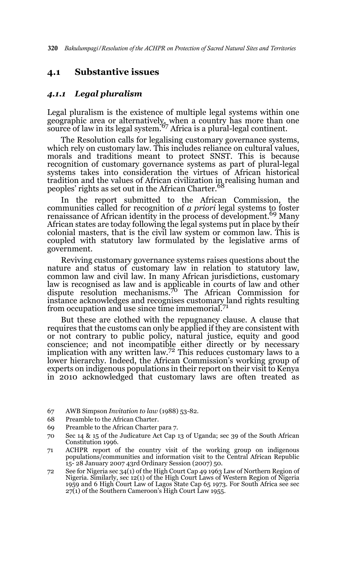### **4.1 Substantive issues**

#### *4.1.1 Legal pluralism*

Legal pluralism is the existence of multiple legal systems within one geographic area or alternatively, when a country has more than one<br>source of law in its legal system.<sup>67</sup> Africa is a plural-legal continent.

The Resolution calls for legalising customary governance systems, which rely on customary law. This includes reliance on cultural values, morals and traditions meant to protect SNST. This is because recognition of customary governance systems as part of plural-legal systems takes into consideration the virtues of African historical tradition and the values of African civilization in realising human and peoples' rights as set out in the African Charter.<sup>68</sup>

In the report submitted to the African Commission, the communities called for recognition of *a priori* legal systems to foster<br>renaissance of African identity in the process of development.<sup>69</sup> Many African states are today following the legal systems put in place by their colonial masters, that is the civil law system or common law. This is coupled with statutory law formulated by the legislative arms of government.

Reviving customary governance systems raises questions about the nature and status of customary law in relation to statutory law, common law and civil law. In many African jurisdictions, customary law is recognised as law and is applicable in courts of law and other dispute resolution mechanisms.70 The African Commission for instance acknowledges and recognises customary land rights resulting from occupation and use since time immemorial.71

But these are clothed with the repugnancy clause. A clause that requires that the customs can only be applied if they are consistent with or not contrary to public policy, natural justice, equity and good conscience; and not incompatible either directly or by necessary implication with any written law.<sup>72</sup> This reduces customary laws to a lower hierarchy. Indeed, the African Commission's working group of experts on indigenous populations in their report on their visit to Kenya in 2010 acknowledged that customary laws are often treated as

- 67 AWB Simpson *Invitation to law* (1988) 53-82.
- 68 Preamble to the African Charter.
- 69 Preamble to the African Charter para 7.
- 70 Sec 14 & 15 of the Judicature Act Cap 13 of Uganda; sec 39 of the South African Constitution 1996.
- 71 ACHPR report of the country visit of the working group on indigenous populations/communities and information visit to the Central African Republic 15- 28 January 2007 43rd Ordinary Session (2007) 50.
- 72 See for Nigeria sec 34(1) of the High Court Cap 49 1963 Law of Northern Region of Nigeria. Similarly, sec 12(1) of the High Court Laws of Western Region of Nigeria 1959 and 6 High Court Law of Lagos State Cap 65 1973. For South Africa see sec 27(1) of the Southern Cameroon's High Court Law 1955.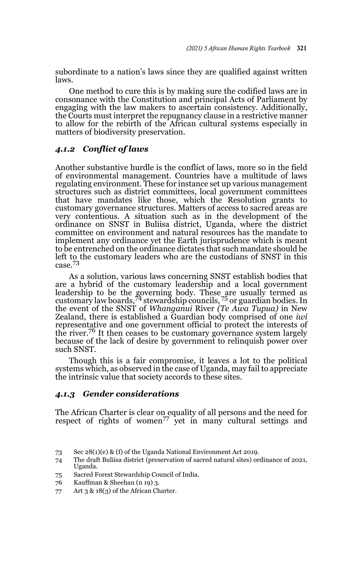subordinate to a nation's laws since they are qualified against written laws.

One method to cure this is by making sure the codified laws are in consonance with the Constitution and principal Acts of Parliament by engaging with the law makers to ascertain consistency. Additionally, the Courts must interpret the repugnancy clause in a restrictive manner to allow for the rebirth of the African cultural systems especially in matters of biodiversity preservation.

### *4.1.2 Conflict of laws*

Another substantive hurdle is the conflict of laws, more so in the field of environmental management. Countries have a multitude of laws regulating environment. These for instance set up various management structures such as district committees, local government committees that have mandates like those, which the Resolution grants to customary governance structures. Matters of access to sacred areas are very contentious. A situation such as in the development of the ordinance on SNST in Buliisa district, Uganda, where the district committee on environment and natural resources has the mandate to implement any ordinance yet the Earth jurisprudence which is meant to be entrenched on the ordinance dictates that such mandate should be left to the customary leaders who are the custodians of SNST in this case.<sup>73</sup>

As a solution, various laws concerning SNST establish bodies that are a hybrid of the customary leadership and a local government leadership to be the governing body. These are usually termed as<br>customary law boards, <sup>74</sup> stewardship councils, <sup>75</sup> or guardian bodies. In the event of the SNST of *Whanganui* River *(Te Awa Tupua)* in New Zealand, there is established a Guardian body comprised of one *iwi* representative and one government official to protect the interests of the river.<sup>76</sup> It then ceases to be customary governance system largely because of the lack of desire by government to relinquish power over such SNST.

Though this is a fair compromise, it leaves a lot to the political systems which, as observed in the case of Uganda, may fail to appreciate the intrinsic value that society accords to these sites.

#### *4.1.3 Gender considerations*

The African Charter is clear on equality of all persons and the need for respect of rights of women<sup>77</sup> yet in many cultural settings and

- 75 Sacred Forest Stewardship Council of India.
- 76 Kauffman & Sheehan (n 19) 3.
- 77 Art 3 & 18(3) of the African Charter.

<sup>73</sup> Sec 28(1)(e) & (f) of the Uganda National Environment Act 2019.

<sup>74</sup> The draft Buliisa district (preservation of sacred natural sites) ordinance of 2021, Uganda.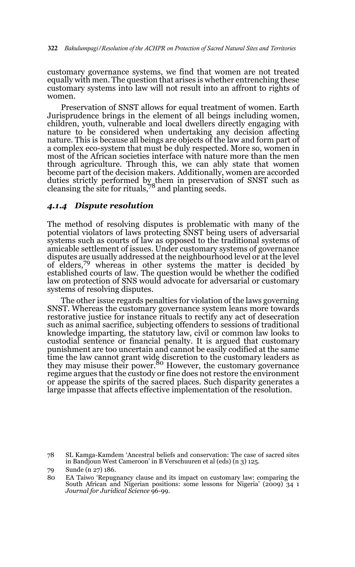customary governance systems, we find that women are not treated equally with men. The question that arises is whether entrenching these customary systems into law will not result into an affront to rights of women.

Preservation of SNST allows for equal treatment of women. Earth Jurisprudence brings in the element of all beings including women, children, youth, vulnerable and local dwellers directly engaging with nature to be considered when undertaking any decision affecting nature. This is because all beings are objects of the law and form part of a complex eco-system that must be duly respected. More so, women in most of the African societies interface with nature more than the men through agriculture. Through this, we can ably state that women become part of the decision makers. Additionally, women are accorded duties strictly performed by them in preservation of SNST such as cleansing the site for rituals,<sup>78</sup> and planting seeds.

#### *4.1.4 Dispute resolution*

The method of resolving disputes is problematic with many of the potential violators of laws protecting SNST being users of adversarial systems such as courts of law as opposed to the traditional systems of amicable settlement of issues. Under customary systems of governance disputes are usually addressed at the neighbourhood level or at the level of elders,79 whereas in other systems the matter is decided by established courts of law. The question would be whether the codified law on protection of SNS would advocate for adversarial or customary systems of resolving disputes.

The other issue regards penalties for violation of the laws governing SNST. Whereas the customary governance system leans more towards restorative justice for instance rituals to rectify any act of desecration such as animal sacrifice, subjecting offenders to sessions of traditional knowledge imparting, the statutory law, civil or common law looks to custodial sentence or financial penalty. It is argued that customary punishment are too uncertain and cannot be easily codified at the same time the law cannot grant wide discretion to the customary leaders as they may misuse their power.<sup>80</sup> However, the customary governance regime argues that the custody or fine does not restore the environment or appease the spirits of the sacred places. Such disparity generates a large impasse that affects effective implementation of the resolution.

<sup>78</sup> SL Kamga-Kamdem 'Ancestral beliefs and conservation: The case of sacred sites in Bandjoun West Cameroon' in B Verschuuren et al (eds) (n 3) 125.

<sup>79</sup> Sunde (n 27) 186.

<sup>80</sup> EA Taiwo 'Repugnancy clause and its impact on customary law: comparing the South African and Nigerian positions: some lessons for Nigeria' (2009) 34 1 *Journal for Juridical Science* 96-99.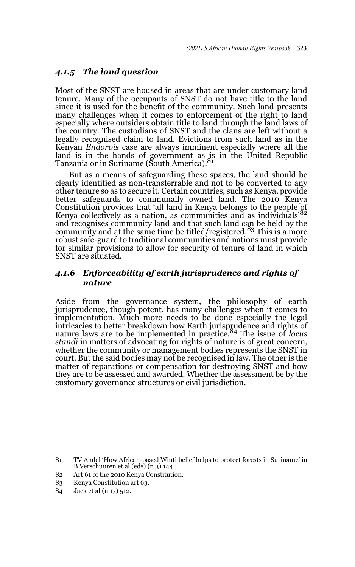#### *4.1.5 The land question*

Most of the SNST are housed in areas that are under customary land tenure. Many of the occupants of SNST do not have title to the land since it is used for the benefit of the community. Such land presents many challenges when it comes to enforcement of the right to land especially where outsiders obtain title to land through the land laws of the country. The custodians of SNST and the clans are left without a legally recognised claim to land. Evictions from such land as in the Kenyan *Endorois* case are always imminent especially where all the land is in the hands of government as is in the United Republic<br>Tanzania or in Suriname (South America).<sup>81</sup>

But as a means of safeguarding these spaces, the land should be clearly identified as non-transferrable and not to be converted to any other tenure so as to secure it. Certain countries, such as Kenya, provide better safeguards to communally owned land. The 2010 Kenya Constitution provides that 'all land in Kenya belongs to the people of Kenya collectively as a nation, as communities and as individuals<sup>82</sup> and recognises community land and that such land can be held by the community and at the same time be titled/registered.<sup>83</sup> This is a more robust safe-guard to traditional communities and nations must provide for similar provisions to allow for security of tenure of land in which SNST are situated.

### *4.1.6 Enforceability of earth jurisprudence and rights of nature*

Aside from the governance system, the philosophy of earth jurisprudence, though potent, has many challenges when it comes to implementation. Much more needs to be done especially the legal intricacies to better breakdown how Earth jurisprudence and rights of nature laws are to be implemented in practice.84 The issue of *locus standi* in matters of advocating for rights of nature is of great concern, whether the community or management bodies represents the SNST in court. But the said bodies may not be recognised in law. The other is the matter of reparations or compensation for destroying SNST and how they are to be assessed and awarded. Whether the assessment be by the customary governance structures or civil jurisdiction.

- 82 Art 61 of the 2010 Kenya Constitution.
- 83 Kenya Constitution art 63.
- 84 Jack et al (n 17) 512.

<sup>81</sup> TV Andel 'How African-based Winti belief helps to protect forests in Suriname' in B Verschuuren et al (eds) (n 3) 144.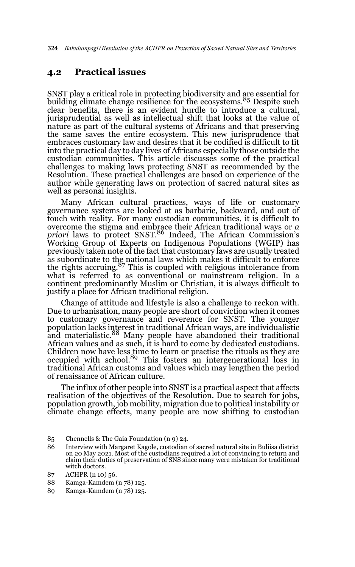### **4.2 Practical issues**

SNST play a critical role in protecting biodiversity and are essential for building climate change resilience for the ecosystems.85 Despite such clear benefits, there is an evident hurdle to introduce a cultural, jurisprudential as well as intellectual shift that looks at the value of nature as part of the cultural systems of Africans and that preserving the same saves the entire ecosystem. This new jurisprudence that embraces customary law and desires that it be codified is difficult to fit into the practical day to day lives of Africans especially those outside the custodian communities. This article discusses some of the practical challenges to making laws protecting SNST as recommended by the Resolution. These practical challenges are based on experience of the author while generating laws on protection of sacred natural sites as well as personal insights.

Many African cultural practices, ways of life or customary governance systems are looked at as barbaric, backward, and out of touch with reality. For many custodian communities, it is difficult to overcome the stigma and embrace their African traditional ways or *a priori* laws to protect SNST.86 Indeed, The African Commission's Working Group of Experts on Indigenous Populations (WGIP) has previously taken note of the fact that customary laws are usually treated as subordinate to the national laws which makes it difficult to enforce the rights accruing. $87$  This is coupled with religious intolerance from what is referred to as conventional or mainstream religion. In a continent predominantly Muslim or Christian, it is always difficult to justify a place for African traditional religion.

Change of attitude and lifestyle is also a challenge to reckon with. Due to urbanisation, many people are short of conviction when it comes to customary governance and reverence for SNST. The younger population lacks interest in traditional African ways, are individualistic and materialistic.<sup>88</sup> Many people have abandoned their traditional African values and as such, it is hard to come by dedicated custodians. Children now have less time to learn or practise the rituals as they are<br>occupied with school.<sup>89</sup> This fosters an intergenerational loss in traditional African customs and values which may lengthen the period of renaissance of African culture.

The influx of other people into SNST is a practical aspect that affects realisation of the objectives of the Resolution. Due to search for jobs, population growth, job mobility, migration due to political instability or climate change effects, many people are now shifting to custodian

<sup>85</sup> Chennells & The Gaia Foundation (n 9) 24.

<sup>86</sup> Interview with Margaret Kagole, custodian of sacred natural site in Buliisa district on 20 May 2021. Most of the custodians required a lot of convincing to return and claim their duties of preservation of SNS since many were mistaken for traditional witch doctors.

<sup>87</sup> ACHPR (n 10) 56.

<sup>88</sup> Kamga-Kamdem (n 78) 125.

<sup>89</sup> Kamga-Kamdem (n 78) 125.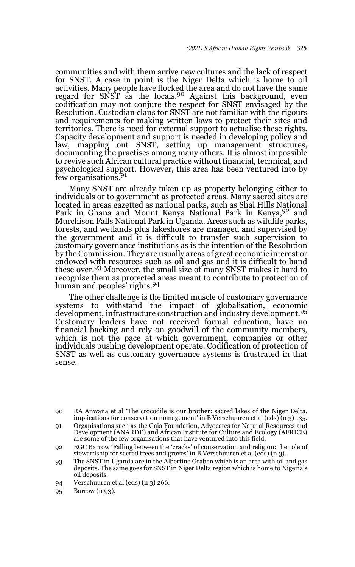communities and with them arrive new cultures and the lack of respect for SNST. A case in point is the Niger Delta which is home to oil activities. Many people have flocked the area and do not have the same regard for SNST as the locals.<sup>90</sup> Against this background, even codification may not conjure the respect for SNST envisaged by the Resolution. Custodian clans for SNST are not familiar with the rigours and requirements for making written laws to protect their sites and territories. There is need for external support to actualise these rights. Capacity development and support is needed in developing policy and law, mapping out SNST, setting up management structures, documenting the practises among many others. It is almost impossible to revive such African cultural practice without financial, technical, and psychological support. However, this area has been ventured into by<br>few organisations.<sup>91</sup>

Many SNST are already taken up as property belonging either to individuals or to government as protected areas. Many sacred sites are located in areas gazetted as national parks, such as Shai Hills National Park in Ghana and Mount Kenya National Park in Kenya, 92 and Murchison Falls National Park in Uganda. Areas such as wildlife parks, forests, and wetlands plus lakeshores are managed and supervised by the government and it is difficult to transfer such supervision to customary governance institutions as is the intention of the Resolution by the Commission. They are usually areas of great economic interest or endowed with resources such as oil and gas and it is difficult to hand these over.93 Moreover, the small size of many SNST makes it hard to recognise them as protected areas meant to contribute to protection of human and peoples' rights.94

The other challenge is the limited muscle of customary governance systems to withstand the impact of globalisation, economic<br>development, infrastructure construction and industry development.<sup>95</sup> Customary leaders have not received formal education, have no financial backing and rely on goodwill of the community members, which is not the pace at which government, companies or other individuals pushing development operate. Codification of protection of SNST as well as customary governance systems is frustrated in that sense.

<sup>90</sup> RA Anwana et al 'The crocodile is our brother: sacred lakes of the Niger Delta, implications for conservation management' in B Verschuuren et al (eds) (n 3)  $135$ .

<sup>91</sup> Organisations such as the Gaia Foundation, Advocates for Natural Resources and Development (ANARDE) and African Institute for Culture and Ecology (AFRICE) are some of the few organisations that have ventured into this field.

<sup>92</sup> EGC Barrow 'Falling between the 'cracks' of conservation and religion: the role of stewardship for sacred trees and groves' in B Verschuuren et al (eds) (n 3).

<sup>93</sup> The SNST in Uganda are in the Albertine Graben which is an area with oil and gas deposits. The same goes for SNST in Niger Delta region which is home to Nigeria's oil deposits.

<sup>94</sup> Verschuuren et al (eds) (n 3) 266.

<sup>95</sup> Barrow (n 93).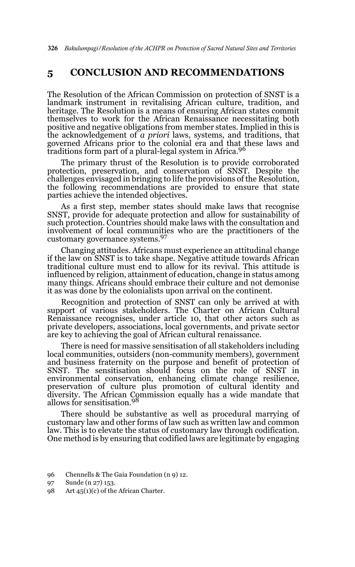**326** *Bakulumpagi/Resolution of the ACHPR on Protection of Sacred Natural Sites and Territories*

### **5 CONCLUSION AND RECOMMENDATIONS**

The Resolution of the African Commission on protection of SNST is a landmark instrument in revitalising African culture, tradition, and heritage. The Resolution is a means of ensuring African states commit themselves to work for the African Renaissance necessitating both positive and negative obligations from member states. Implied in this is the acknowledgement of *a priori* laws, systems, and traditions, that governed Africans prior to the colonial era and that these laws and traditions form part of a plural-legal system in Africa.<sup>96</sup>

The primary thrust of the Resolution is to provide corroborated protection, preservation, and conservation of SNST. Despite the challenges envisaged in bringing to life the provisions of the Resolution, the following recommendations are provided to ensure that state parties achieve the intended objectives.

As a first step, member states should make laws that recognise SNST, provide for adequate protection and allow for sustainability of such protection. Countries should make laws with the consultation and involvement of local communities who are the practitioners of the customary governance systems.97

Changing attitudes. Africans must experience an attitudinal change if the law on SNST is to take shape. Negative attitude towards African traditional culture must end to allow for its revival. This attitude is influenced by religion, attainment of education, change in status among many things. Africans should embrace their culture and not demonise it as was done by the colonialists upon arrival on the continent.

Recognition and protection of SNST can only be arrived at with support of various stakeholders. The Charter on African Cultural Renaissance recognises, under article 10, that other actors such as private developers, associations, local governments, and private sector are key to achieving the goal of African cultural renaissance.

There is need for massive sensitisation of all stakeholders including local communities, outsiders (non-community members), government and business fraternity on the purpose and benefit of protection of SNST. The sensitisation should focus on the role of SNST in environmental conservation, enhancing climate change resilience, preservation of culture plus promotion of cultural identity and diversity. The African Commission equally has a wide mandate that allows for sensitisation.98

There should be substantive as well as procedural marrying of customary law and other forms of law such as written law and common law. This is to elevate the status of customary law through codification. One method is by ensuring that codified laws are legitimate by engaging

96 Chennells & The Gaia Foundation (n 9) 12.

98 Art 45(1)(c) of the African Charter.

<sup>97</sup> Sunde (n 27) 153.